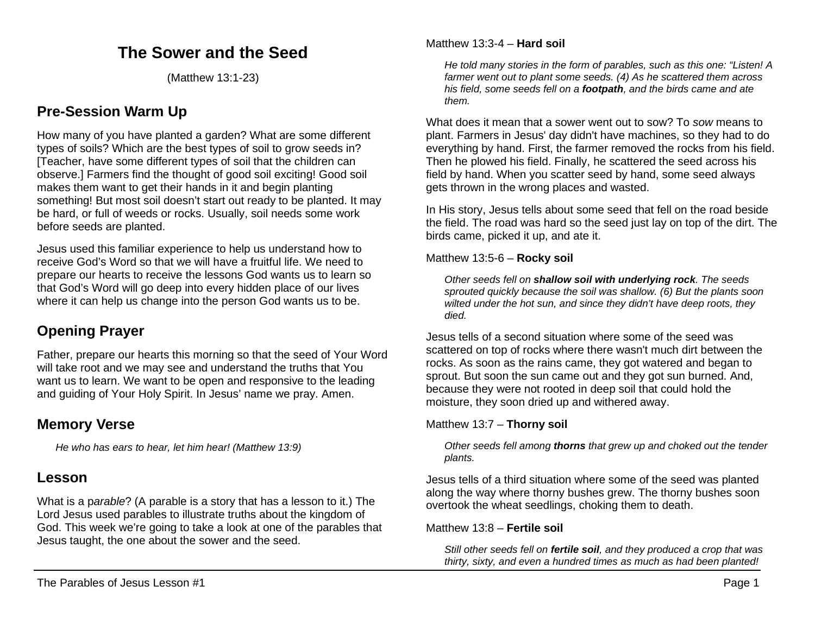# **The Sower and the Seed**

(Matthew 13:1-23)

# **Pre-Session Warm Up**

How many of you have planted a garden? What are some different types of soils? Which are the best types of soil to grow seeds in? [Teacher, have some different types of soil that the children can observe.] Farmers find the thought of good soil exciting! Good soil makes them want to get their hands in it and begin planting something! But most soil doesn't start out ready to be planted. It may be hard, or full of weeds or rocks. Usually, soil needs some work before seeds are planted.

Jesus used this familiar experience to help us understand how to receive God's Word so that we will have a fruitful life. We need to prepare our hearts to receive the lessons God wants us to learn so that God's Word will go deep into every hidden place of our lives where it can help us change into the person God wants us to be.

# **Opening Prayer**

Father, prepare our hearts this morning so that the seed of Your Word will take root and we may see and understand the truths that You want us to learn. We want to be open and responsive to the leading and guiding of Your Holy Spirit. In Jesus' name we pray. Amen.

# **Memory Verse**

*He who has ears to hear, let him hear! (Matthew 13:9)*

## **Lesson**

What is a p*arable*? (A parable is a story that has a lesson to it.) The Lord Jesus used parables to illustrate truths about the kingdom of God. This week we're going to take a look at one of the parables that Jesus taught, the one about the sower and the seed.

*He told many stories in the form of parables, such as this one: "Listen! A farmer went out to plant some seeds. (4) As he scattered them across his field, some seeds fell on a footpath, and the birds came and ate them.*

What does it mean that a sower went out to sow? To *sow* means to plant. Farmers in Jesus' day didn't have machines, so they had to do everything by hand. First, the farmer removed the rocks from his field. Then he plowed his field. Finally, he scattered the seed across his field by hand. When you scatter seed by hand, some seed always gets thrown in the wrong places and wasted.

In His story, Jesus tells about some seed that fell on the road beside the field. The road was hard so the seed just lay on top of the dirt. The birds came, picked it up, and ate it.

Matthew 13:5-6 – **Rocky soil**

*Other seeds fell on shallow soil with underlying rock. The seeds sprouted quickly because the soil was shallow. (6) But the plants soon wilted under the hot sun, and since they didn't have deep roots, they died.*

Jesus tells of a second situation where some of the seed was scattered on top of rocks where there wasn't much dirt between the rocks. As soon as the rains came, they got watered and began to sprout. But soon the sun came out and they got sun burned. And, because they were not rooted in deep soil that could hold the moisture, they soon dried up and withered away.

## Matthew 13:7 – **Thorny soil**

*Other seeds fell among thorns that grew up and choked out the tender plants.* 

Jesus tells of a third situation where some of the seed was planted along the way where thorny bushes grew. The thorny bushes soon overtook the wheat seedlings, choking them to death.

#### Matthew 13:8 – **Fertile soil**

*Still other seeds fell on fertile soil, and they produced a crop that was thirty, sixty, and even a hundred times as much as had been planted!*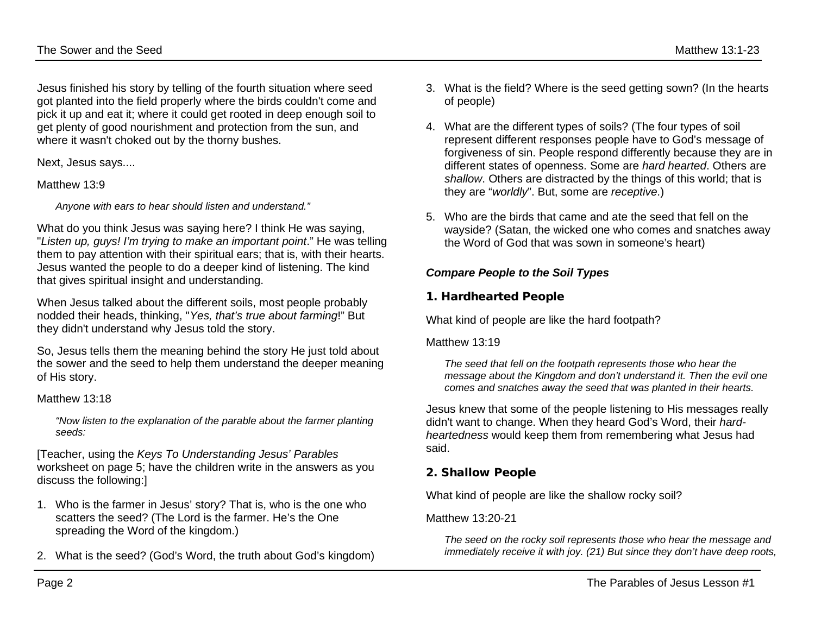Jesus finished his story by telling of the fourth situation where seed got planted into the field properly where the birds couldn't come and pick it up and eat it; where it could get rooted in deep enough soil to get plenty of good nourishment and protection from the sun, and where it wasn't choked out by the thorny bushes.

Next, Jesus says....

#### Matthew 13:9

*Anyone with ears to hear should listen and understand."*

What do you think Jesus was saying here? I think He was saying, "*Listen up, guys! I'm trying to make an important point*." He was telling them to pay attention with their spiritual ears; that is, with their hearts. Jesus wanted the people to do a deeper kind of listening. The kind that gives spiritual insight and understanding.

When Jesus talked about the different soils, most people probably nodded their heads, thinking, "*Yes, that's true about farming*!" But they didn't understand why Jesus told the story.

So, Jesus tells them the meaning behind the story He just told about the sower and the seed to help them understand the deeper meaning of His story.

#### Matthew 13:18

*"Now listen to the explanation of the parable about the farmer planting seeds:*

[Teacher, using the *Keys To Understanding Jesus' Parables* worksheet on page 5; have the children write in the answers as you discuss the following:]

- 1. Who is the farmer in Jesus' story? That is, who is the one who scatters the seed? (The Lord is the farmer. He's the One spreading the Word of the kingdom.)
- 2. What is the seed? (God's Word, the truth about God's kingdom)
- 3. What is the field? Where is the seed getting sown? (In the hearts
- 4. What are the different types of soils? (The four types of soil represent different responses people have to God's message of forgiveness of sin. People respond differently because they are in different states of openness. Some are *hard hearted*. Others are *shallow*. Others are distracted by the things of this world; that is they are "*worldly*". But, some are *receptive*.)
- 5. Who are the birds that came and ate the seed that fell on the wayside? (Satan, the wicked one who comes and snatches away the Word of God that was sown in someone's heart)

## *Compare People to the Soil Types*

#### 1. Hardhearted People

What kind of people are like the hard footpath?

#### Matthew 13:19

of people)

*The seed that fell on the footpath represents those who hear the message about the Kingdom and don't understand it. Then the evil one comes and snatches away the seed that was planted in their hearts.*

Jesus knew that some of the people listening to His messages really didn't want to change. When they heard God's Word, their *hardheartedness* would keep them from remembering what Jesus had said.

#### 2. Shallow People

What kind of people are like the shallow rocky soil?

#### Matthew 13:20-21

*The seed on the rocky soil represents those who hear the message and immediately receive it with joy. (21) But since they don't have deep roots,*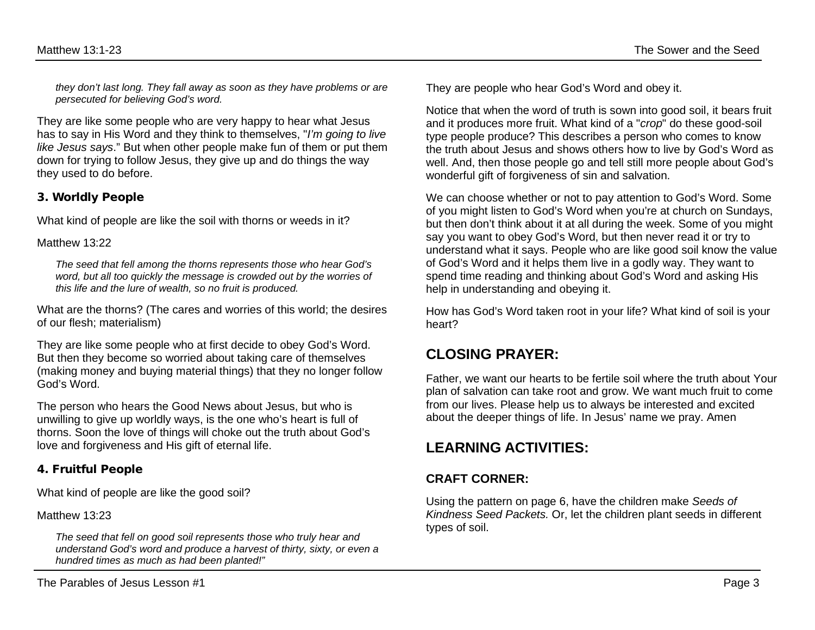*they don't last long. They fall away as soon as they have problems or are persecuted for believing God's word.*

They are like some people who are very happy to hear what Jesus has to say in His Word and they think to themselves, "*I'm going to live like Jesus says*." But when other people make fun of them or put them down for trying to follow Jesus, they give up and do things the way they used to do before.

#### 3. Worldly People

What kind of people are like the soil with thorns or weeds in it?

#### Matthew 13:22

*The seed that fell among the thorns represents those who hear God's word, but all too quickly the message is crowded out by the worries of this life and the lure of wealth, so no fruit is produced.*

What are the thorns? (The cares and worries of this world; the desires of our flesh; materialism)

They are like some people who at first decide to obey God's Word. But then they become so worried about taking care of themselves (making money and buying material things) that they no longer follow God's Word.

The person who hears the Good News about Jesus, but who is unwilling to give up worldly ways, is the one who's heart is full of thorns. Soon the love of things will choke out the truth about God's love and forgiveness and His gift of eternal life.

#### 4. Fruitful People

What kind of people are like the good soil?

Matthew 13:23

*The seed that fell on good soil represents those who truly hear and understand God's word and produce a harvest of thirty, sixty, or even a hundred times as much as had been planted!"*

They are people who hear God's Word and obey it.

Notice that when the word of truth is sown into good soil, it bears fruit and it produces more fruit. What kind of a "*crop*" do these good-soil type people produce? This describes a person who comes to know the truth about Jesus and shows others how to live by God's Word as well. And, then those people go and tell still more people about God's wonderful gift of forgiveness of sin and salvation.

We can choose whether or not to pay attention to God's Word. Some of you might listen to God's Word when you're at church on Sundays, but then don't think about it at all during the week. Some of you might say you want to obey God's Word, but then never read it or try to understand what it says. People who are like good soil know the value of God's Word and it helps them live in a godly way. They want to spend time reading and thinking about God's Word and asking His help in understanding and obeying it.

How has God's Word taken root in your life? What kind of soil is your heart?

# **CLOSING PRAYER:**

Father, we want our hearts to be fertile soil where the truth about Your plan of salvation can take root and grow. We want much fruit to come from our lives. Please help us to always be interested and excited about the deeper things of life. In Jesus' name we pray. Amen

## **LEARNING ACTIVITIES:**

## **CRAFT CORNER:**

Using the pattern on page 6, have the children make *Seeds of Kindness Seed Packets.* Or, let the children plant seeds in different types of soil.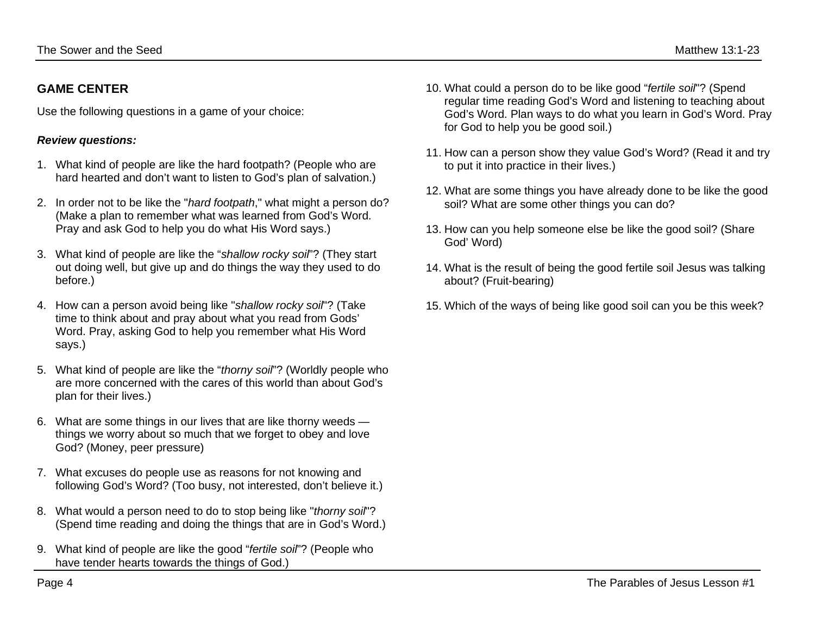## **GAME CENTER**

Use the following questions in a game of your choice:

### *Review questions:*

- 1. What kind of people are like the hard footpath? (People who are hard hearted and don't want to listen to God's plan of salvation.)
- 2. In order not to be like the "*hard footpath*," what might a person do? (Make a plan to remember what was learned from God's Word. Pray and ask God to help you do what His Word says.)
- 3. What kind of people are like the "*shallow rocky soil*"? (They start out doing well, but give up and do things the way they used to do before.)
- 4. How can a person avoid being like "*shallow rocky soil*"? (Take time to think about and pray about what you read from Gods' Word. Pray, asking God to help you remember what His Word says.)
- 5. What kind of people are like the "*thorny soil*"? (Worldly people who are more concerned with the cares of this world than about God's plan for their lives.)
- 6. What are some things in our lives that are like thorny weeds things we worry about so much that we forget to obey and love God? (Money, peer pressure)
- 7. What excuses do people use as reasons for not knowing and following God's Word? (Too busy, not interested, don't believe it.)
- 8. What would a person need to do to stop being like "*thorny soil*"? (Spend time reading and doing the things that are in God's Word.)
- 9. What kind of people are like the good "*fertile soil*"? (People who have tender hearts towards the things of God.)
- 10. What could a person do to be like good "*fertile soil*"? (Spend regular time reading God's Word and listening to teaching about God's Word. Plan ways to do what you learn in God's Word. Pray for God to help you be good soil.)
- 11. How can a person show they value God's Word? (Read it and try to put it into practice in their lives.)
- 12. What are some things you have already done to be like the good soil? What are some other things you can do?
- 13. How can you help someone else be like the good soil? (Share God' Word)
- 14. What is the result of being the good fertile soil Jesus was talking about? (Fruit-bearing)
- 15. Which of the ways of being like good soil can you be this week?